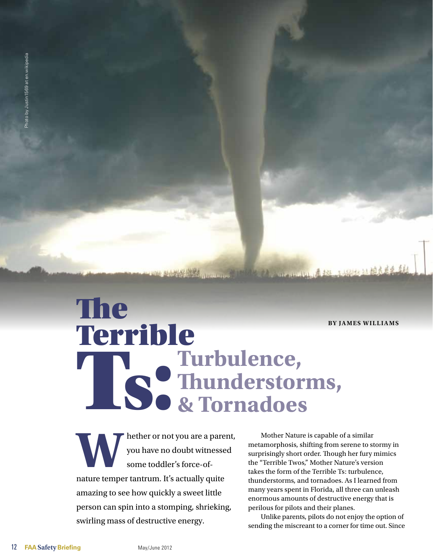**By James Williams**

# The Terrible Ts: **Turbulence, Thunderstorms, & Tornadoes**

MERRY HET OF NOTIFIER OF NOTIFIER AND NOTE OF THE USE OF THE USE OF THE USE OF THE USE OF THE USE OF THE USE OF THE USE OF THE USE OF THE USE OF THE USE OF THE USE OF THE USE OF THE USE OF THE USE OF THE USE OF THE USE OF you have no doubt witnessed some toddler's force-ofnature temper tantrum. It's actually quite amazing to see how quickly a sweet little person can spin into a stomping, shrieking, swirling mass of destructive energy.

Mother Nature is capable of a similar metamorphosis, shifting from serene to stormy in surprisingly short order. Though her fury mimics the "Terrible Twos," Mother Nature's version takes the form of the Terrible Ts: turbulence, thunderstorms, and tornadoes. As I learned from many years spent in Florida, all three can unleash enormous amounts of destructive energy that is perilous for pilots and their planes.

**CONTRACTOR** 12 12 13 14 15 16

Unlike parents, pilots do not enjoy the option of sending the miscreant to a corner for time out. Since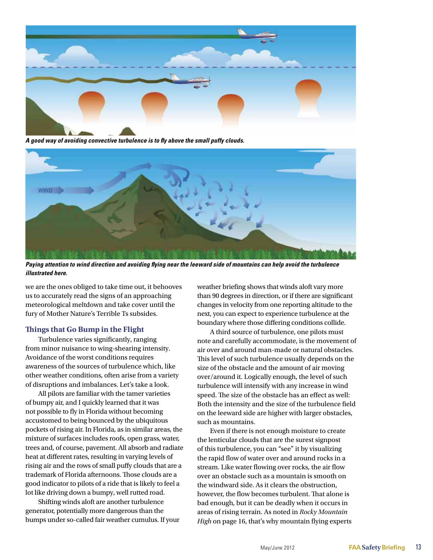

*A good way of avoiding convective turbulence is to fly above the small puffy clouds.* 



*Paying attention to wind direction and avoiding flying near the leeward side of mountains can help avoid the turbulence illustrated here.*

we are the ones obliged to take time out, it behooves us to accurately read the signs of an approaching meteorological meltdown and take cover until the fury of Mother Nature's Terrible Ts subsides.

# **Things that Go Bump in the Flight**

Turbulence varies significantly, ranging from minor nuisance to wing-shearing intensity. Avoidance of the worst conditions requires awareness of the sources of turbulence which, like other weather conditions, often arise from a variety of disruptions and imbalances. Let's take a look.

All pilots are familiar with the tamer varieties of bumpy air, and I quickly learned that it was not possible to fly in Florida without becoming accustomed to being bounced by the ubiquitous pockets of rising air. In Florida, as in similar areas, the mixture of surfaces includes roofs, open grass, water, trees and, of course, pavement. All absorb and radiate heat at different rates, resulting in varying levels of rising air and the rows of small puffy clouds that are a trademark of Florida afternoons. Those clouds are a good indicator to pilots of a ride that is likely to feel a lot like driving down a bumpy, well rutted road.

Shifting winds aloft are another turbulence generator, potentially more dangerous than the bumps under so-called fair weather cumulus. If your weather briefing shows that winds aloft vary more than 90 degrees in direction, or if there are significant changes in velocity from one reporting altitude to the next, you can expect to experience turbulence at the boundary where those differing conditions collide.

A third source of turbulence, one pilots must note and carefully accommodate, is the movement of air over and around man-made or natural obstacles. This level of such turbulence usually depends on the size of the obstacle and the amount of air moving over/around it. Logically enough, the level of such turbulence will intensify with any increase in wind speed. The size of the obstacle has an effect as well: Both the intensity and the size of the turbulence field on the leeward side are higher with larger obstacles, such as mountains.

Even if there is not enough moisture to create the lenticular clouds that are the surest signpost of this turbulence, you can "see" it by visualizing the rapid flow of water over and around rocks in a stream. Like water flowing over rocks, the air flow over an obstacle such as a mountain is smooth on the windward side. As it clears the obstruction, however, the flow becomes turbulent. That alone is bad enough, but it can be deadly when it occurs in areas of rising terrain. As noted in *Rocky Mountain High* on page 16, that's why mountain flying experts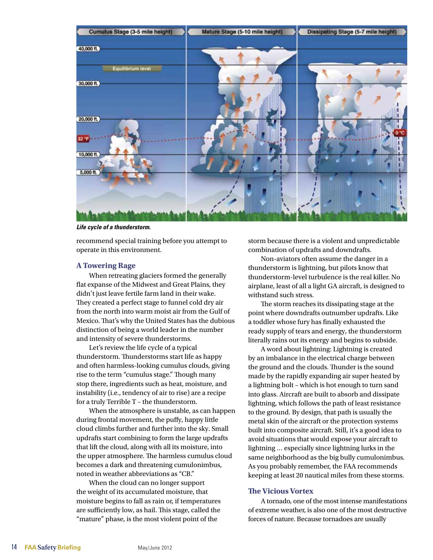

*Life cycle of a thunderstorm.*

recommend special training before you attempt to operate in this environment.

# **A Towering Rage**

When retreating glaciers formed the generally flat expanse of the Midwest and Great Plains, they didn't just leave fertile farm land in their wake. They created a perfect stage to funnel cold dry air from the north into warm moist air from the Gulf of Mexico. That's why the United States has the dubious distinction of being a world leader in the number and intensity of severe thunderstorms.

Let's review the life cycle of a typical thunderstorm. Thunderstorms start life as happy and often harmless-looking cumulus clouds, giving rise to the term "cumulus stage." Though many stop there, ingredients such as heat, moisture, and instability (i.e., tendency of air to rise) are a recipe for a truly Terrible T – the thunderstorm.

When the atmosphere is unstable, as can happen during frontal movement, the puffy, happy little cloud climbs further and further into the sky. Small updrafts start combining to form the large updrafts that lift the cloud, along with all its moisture, into the upper atmosphere. The harmless cumulus cloud becomes a dark and threatening cumulonimbus, noted in weather abbreviations as "CB."

When the cloud can no longer support the weight of its accumulated moisture, that moisture begins to fall as rain or, if temperatures are sufficiently low, as hail. This stage, called the "mature" phase, is the most violent point of the

storm because there is a violent and unpredictable combination of updrafts and downdrafts.

Non-aviators often assume the danger in a thunderstorm is lightning, but pilots know that thunderstorm-level turbulence is the real killer. No airplane, least of all a light GA aircraft, is designed to withstand such stress.

The storm reaches its dissipating stage at the point where downdrafts outnumber updrafts. Like a toddler whose fury has finally exhausted the ready supply of tears and energy, the thunderstorm literally rains out its energy and begins to subside.

A word about lightning: Lightning is created by an imbalance in the electrical charge between the ground and the clouds. Thunder is the sound made by the rapidly expanding air super heated by a lightning bolt – which is hot enough to turn sand into glass. Aircraft are built to absorb and dissipate lightning, which follows the path of least resistance to the ground. By design, that path is usually the metal skin of the aircraft or the protection systems built into composite aircraft. Still, it's a good idea to avoid situations that would expose your aircraft to lightning … especially since lightning lurks in the same neighborhood as the big bully cumulonimbus. As you probably remember, the FAA recommends keeping at least 20 nautical miles from these storms.

# **The Vicious Vortex**

A tornado, one of the most intense manifestations of extreme weather, is also one of the most destructive forces of nature. Because tornadoes are usually